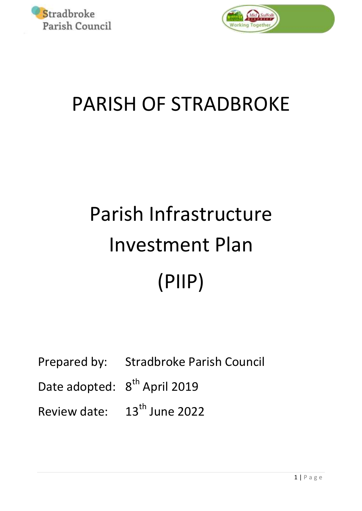



## PARISH OF STRADBROKE

# Parish Infrastructure Investment Plan (PIIP)

Prepared by: Stradbroke Parish Council

Date adopted:  $8<sup>th</sup>$  April 2019

Review date:  $13<sup>th</sup>$  June 2022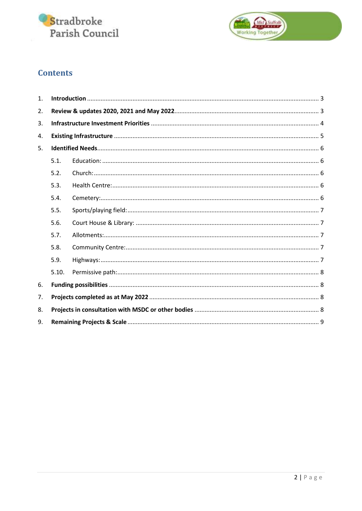



### **Contents**

| $\mathbf{1}$ . |       |  |  |  |
|----------------|-------|--|--|--|
| 2.             |       |  |  |  |
| 3.             |       |  |  |  |
| 4.             |       |  |  |  |
| 5.             |       |  |  |  |
|                | 5.1.  |  |  |  |
|                | 5.2.  |  |  |  |
|                | 5.3.  |  |  |  |
|                | 5.4.  |  |  |  |
|                | 5.5.  |  |  |  |
|                | 5.6.  |  |  |  |
|                | 5.7.  |  |  |  |
|                | 5.8.  |  |  |  |
|                | 5.9.  |  |  |  |
|                | 5.10. |  |  |  |
| 6.             |       |  |  |  |
| 7.             |       |  |  |  |
| 8.             |       |  |  |  |
| 9.             |       |  |  |  |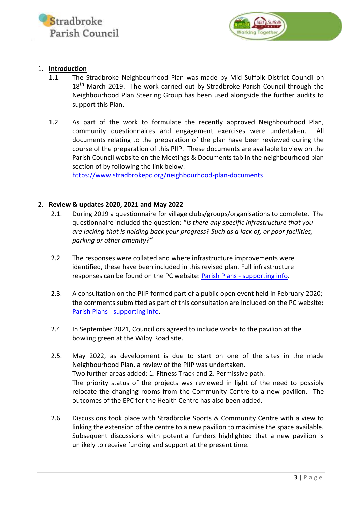



#### <span id="page-2-0"></span>1. **Introduction**

- 1.1. The Stradbroke Neighbourhood Plan was made by Mid Suffolk District Council on 18<sup>th</sup> March 2019. The work carried out by Stradbroke Parish Council through the Neighbourhood Plan Steering Group has been used alongside the further audits to support this Plan.
- 1.2. As part of the work to formulate the recently approved Neighbourhood Plan, community questionnaires and engagement exercises were undertaken. documents relating to the preparation of the plan have been reviewed during the course of the preparation of this PIIP. These documents are available to view on the Parish Council website on the Meetings & Documents tab in the neighbourhood plan section of by following the link below:

<https://www.stradbrokepc.org/neighbourhood-plan-documents>

#### <span id="page-2-1"></span>2. **Review & updates 2020, 2021 and May 2022**

- 2.1. During 2019 a questionnaire for village clubs/groups/organisations to complete. The questionnaire included the question: "*Is there any specific infrastructure that you are lacking that is holding back your progress? Such as a lack of, or poor facilities, parking or other amenity?"*
- 2.2. The responses were collated and where infrastructure improvements were identified, these have been included in this revised plan. Full infrastructure responses can be found on the PC website: Parish Plans - [supporting info.](https://www.stradbrokepc.org/parish-plans)
- 2.3. A consultation on the PIIP formed part of a public open event held in February 2020; the comments submitted as part of this consultation are included on the PC website: Parish Plans - [supporting info.](https://www.stradbrokepc.org/parish-plans)
- 2.4. In September 2021, Councillors agreed to include works to the pavilion at the bowling green at the Wilby Road site.
- 2.5. May 2022, as development is due to start on one of the sites in the made Neighbourhood Plan, a review of the PIIP was undertaken. Two further areas added: 1. Fitness Track and 2. Permissive path. The priority status of the projects was reviewed in light of the need to possibly relocate the changing rooms from the Community Centre to a new pavilion. The outcomes of the EPC for the Health Centre has also been added.
- 2.6. Discussions took place with Stradbroke Sports & Community Centre with a view to linking the extension of the centre to a new pavilion to maximise the space available. Subsequent discussions with potential funders highlighted that a new pavilion is unlikely to receive funding and support at the present time.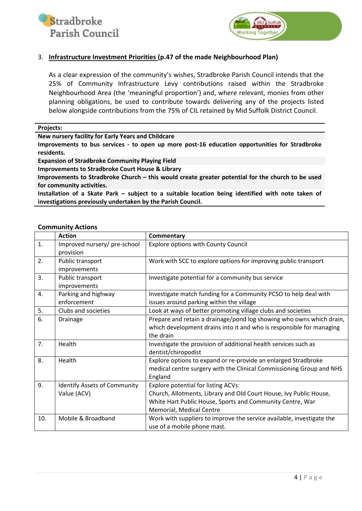



#### <span id="page-3-0"></span>3. **Infrastructure Investment Priorities (p.47 of the made Neighbourhood Plan)**

As a clear expression of the community's wishes, Stradbroke Parish Council intends that the 25% of Community Infrastructure Levy contributions raised within the Stradbroke Neighbourhood Area (the 'meaningful proportion') and, where relevant, monies from other planning obligations, be used to contribute towards delivering any of the projects listed below alongside contributions from the 75% of CIL retained by Mid Suffolk District Council.

**Projects:**

**New nursery facility for Early Years and Childcare**

**Improvements to bus services - to open up more post-16 education opportunities for Stradbroke residents.**

**Expansion of Stradbroke Community Playing Field**

**Improvements to Stradbroke Court House & Library**

**Improvements to Stradbroke Church – this would create greater potential for the church to be used for community activities.**

**Installation of a Skate Park – subject to a suitable location being identified with note taken of investigations previously undertaken by the Parish Council.**

#### **Community Actions**

|     | <b>Action</b>                       | Commentary                                                            |
|-----|-------------------------------------|-----------------------------------------------------------------------|
| 1.  | Improved nursery/ pre-school        | <b>Explore options with County Council</b>                            |
|     | provision                           |                                                                       |
| 2.  | Public transport                    | Work with SCC to explore options for improving public transport       |
|     | improvements                        |                                                                       |
| 3.  | Public transport                    | Investigate potential for a community bus service                     |
|     | improvements                        |                                                                       |
| 4.  | Parking and highway                 | Investigate match funding for a Community PCSO to help deal with      |
|     | enforcement                         | issues around parking within the village                              |
| 5.  | Clubs and societies                 | Look at ways of better promoting village clubs and societies          |
| 6.  | Drainage                            | Prepare and retain a drainage/pond log showing who owns which drain,  |
|     |                                     | which development drains into it and who is responsible for managing  |
|     |                                     | the drain                                                             |
| 7.  | Health                              | Investigate the provision of additional health services such as       |
|     |                                     | dentist/chiropodist                                                   |
| 8.  | Health                              | Explore options to expand or re-provide an enlarged Stradbroke        |
|     |                                     | medical centre surgery with the Clinical Commissioning Group and NHS  |
|     |                                     | England                                                               |
| 9.  | <b>Identify Assets of Community</b> | <b>Explore potential for listing ACVs:</b>                            |
|     | Value (ACV)                         | Church, Allotments, Library and Old Court House, Ivy Public House,    |
|     |                                     | White Hart Public House, Sports and Community Centre, War             |
|     |                                     | Memorial, Medical Centre                                              |
| 10. | Mobile & Broadband                  | Work with suppliers to improve the service available, investigate the |
|     |                                     | use of a mobile phone mast.                                           |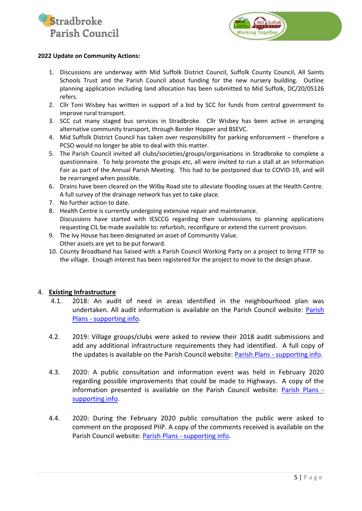



#### **2022 Update on Community Actions:**

- 1. Discussions are underway with Mid Suffolk District Council, Suffolk County Council, All Saints Schools Trust and the Parish Council about funding for the new nursery building. Outline planning application including land allocation has been submitted to Mid Suffolk, DC/20/05126 refers.
- 2. Cllr Toni Wisbey has written in support of a bid by SCC for funds from central government to improve rural transport.
- 3. SCC cut many staged bus services in Stradbroke. Cllr Wisbey has been active in arranging alternative community transport, through Border Hopper and BSEVC.
- 4. Mid Suffolk District Council has taken over responsibility for parking enforcement therefore a PCSO would no longer be able to deal with this matter.
- 5. The Parish Council invited all clubs/societies/groups/organisations in Stradbroke to complete a questionnaire. To help promote the groups etc, all were invited to run a stall at an Information Fair as part of the Annual Parish Meeting. This had to be postponed due to COVID-19, and will be rearranged when possible.
- 6. Drains have been cleared on the Wilby Road site to alleviate flooding issues at the Health Centre. A full survey of the drainage network has yet to take place.
- 7. No further action to date.
- 8. Health Centre is currently undergoing extensive repair and maintenance.

Discussions have started with IESCCG regarding their submissions to planning applications requesting CIL be made available to: refurbish, reconfigure or extend the current provision.

- 9. The Ivy House has been designated an asset of Community Value. Other assets are yet to be put forward.
- 10. County Broadband has liaised with a Parish Council Working Party on a project to bring FTTP to the village. Enough interest has been registered for the project to move to the design phase.

#### <span id="page-4-0"></span>4. **Existing Infrastructure**

- 4.1. 2018: An audit of need in areas identified in the neighbourhood plan was undertaken. All audit information is available on the Parish Council website: [Parish](https://www.stradbrokepc.org/parish-plans)  Plans - [supporting info.](https://www.stradbrokepc.org/parish-plans)
- 4.2. 2019: Village groups/clubs were asked to review their 2018 audit submissions and add any additional infrastructure requirements they had identified. A full copy of the updates is available on the Parish Council website: Parish Plans - [supporting info.](https://www.stradbrokepc.org/parish-plans)
- 4.3. 2020: A public consultation and information event was held in February 2020 regarding possible improvements that could be made to Highways. A copy of the information presented is available on the Parish Council website: [Parish Plans](https://www.stradbrokepc.org/parish-plans)  [supporting info.](https://www.stradbrokepc.org/parish-plans)
- 4.4. 2020: During the February 2020 public consultation the public were asked to comment on the proposed PIIP. A copy of the comments received is available on the Parish Council website: Parish Plans - [supporting info.](https://www.stradbrokepc.org/parish-plans)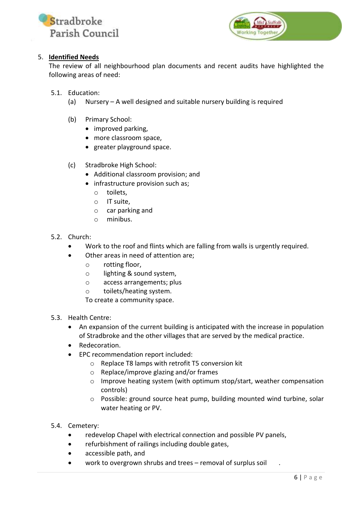



#### <span id="page-5-0"></span>5. **Identified Needs**

The review of all neighbourhood plan documents and recent audits have highlighted the following areas of need:

<span id="page-5-1"></span>5.1. Education:

- (a) Nursery A well designed and suitable nursery building is required
- (b) Primary School:
	- improved parking,
	- more classroom space,
	- greater playground space.
- (c) Stradbroke High School:
	- Additional classroom provision; and
	- infrastructure provision such as;
		- o toilets,
		- o IT suite,
		- o car parking and
		- o minibus.
- <span id="page-5-2"></span>5.2. Church:
	- Work to the roof and flints which are falling from walls is urgently required.
	- Other areas in need of attention are;
		- o rotting floor,
		- o lighting & sound system,
		- o access arrangements; plus
		- o toilets/heating system.
		- To create a community space.
- <span id="page-5-3"></span>5.3. Health Centre:
	- An expansion of the current building is anticipated with the increase in population of Stradbroke and the other villages that are served by the medical practice.
	- Redecoration.
	- EPC recommendation report included:
		- o Replace T8 lamps with retrofit T5 conversion kit
		- o Replace/improve glazing and/or frames
		- o Improve heating system (with optimum stop/start, weather compensation controls)
		- o Possible: ground source heat pump, building mounted wind turbine, solar water heating or PV.
- <span id="page-5-4"></span>5.4. Cemetery:
	- redevelop Chapel with electrical connection and possible PV panels,
	- refurbishment of railings including double gates,
	- accessible path, and
	- work to overgrown shrubs and trees removal of surplus soil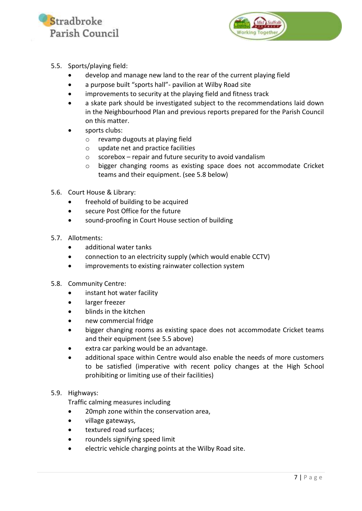



- <span id="page-6-0"></span>5.5. Sports/playing field:
	- develop and manage new land to the rear of the current playing field
	- a purpose built "sports hall"- pavilion at Wilby Road site
	- improvements to security at the playing field and fitness track
	- a skate park should be investigated subject to the recommendations laid down in the Neighbourhood Plan and previous reports prepared for the Parish Council on this matter.
	- sports clubs:
		- o revamp dugouts at playing field
		- o update net and practice facilities
		- $\circ$  scorebox repair and future security to avoid vandalism
		- o bigger changing rooms as existing space does not accommodate Cricket teams and their equipment. (see 5.8 below)
- <span id="page-6-1"></span>5.6. Court House & Library:
	- freehold of building to be acquired
	- secure Post Office for the future
	- sound-proofing in Court House section of building
- <span id="page-6-2"></span>5.7. Allotments:
	- additional water tanks
	- connection to an electricity supply (which would enable CCTV)
	- improvements to existing rainwater collection system
- <span id="page-6-3"></span>5.8. Community Centre:
	- instant hot water facility
	- **•** larger freezer
	- blinds in the kitchen
	- new commercial fridge
	- bigger changing rooms as existing space does not accommodate Cricket teams and their equipment (see 5.5 above)
	- extra car parking would be an advantage.
	- additional space within Centre would also enable the needs of more customers to be satisfied (imperative with recent policy changes at the High School prohibiting or limiting use of their facilities)

#### <span id="page-6-4"></span>5.9. Highways:

Traffic calming measures including

- 20mph zone within the conservation area,
- village gateways,
- textured road surfaces;
- roundels signifying speed limit
- electric vehicle charging points at the Wilby Road site.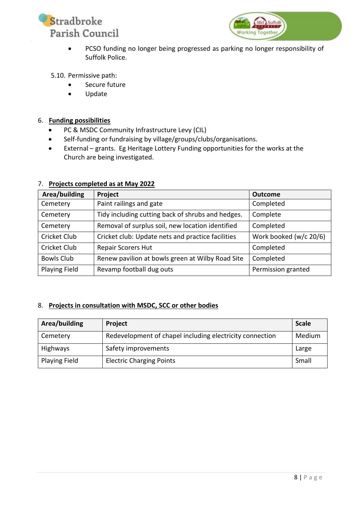



 PCSO funding no longer being progressed as parking no longer responsibility of Suffolk Police.

#### <span id="page-7-0"></span>5.10. Permissive path:

- Secure future
- Update

#### <span id="page-7-1"></span>6. **Funding possibilities**

- PC & MSDC Community Infrastructure Levy (CIL)
- Self-funding or fundraising by village/groups/clubs/organisations.
- External grants. Eg Heritage Lottery Funding opportunities for the works at the Church are being investigated.

| Area/building        | Project                                           | <b>Outcome</b>         |
|----------------------|---------------------------------------------------|------------------------|
| Cemetery             | Paint railings and gate                           | Completed              |
| Cemetery             | Tidy including cutting back of shrubs and hedges. | Complete               |
| Cemetery             | Removal of surplus soil, new location identified  | Completed              |
| <b>Cricket Club</b>  | Cricket club: Update nets and practice facilities | Work booked (w/c 20/6) |
| <b>Cricket Club</b>  | <b>Repair Scorers Hut</b>                         | Completed              |
| <b>Bowls Club</b>    | Renew pavilion at bowls green at Wilby Road Site  | Completed              |
| <b>Playing Field</b> | Revamp football dug outs                          | Permission granted     |

#### <span id="page-7-2"></span>7. **Projects completed as at May 2022**

#### <span id="page-7-3"></span>8. **Projects in consultation with MSDC, SCC or other bodies**

| Area/building        | Project                                                  | <b>Scale</b> |
|----------------------|----------------------------------------------------------|--------------|
| Cemetery             | Redevelopment of chapel including electricity connection | Medium       |
| Highways             | Safety improvements                                      | Large        |
| <b>Playing Field</b> | <b>Electric Charging Points</b>                          | Small        |